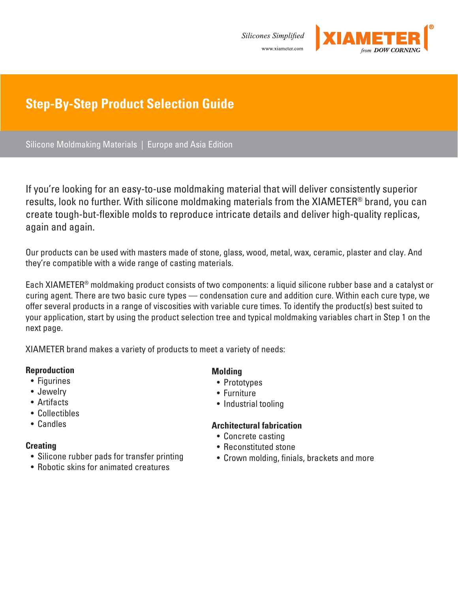Silicones Simplified www.xiameter.com



# **Step-By-Step Product Selection Guide**

Silicone Moldmaking Materials | Europe and Asia Edition

If you're looking for an easy-to-use moldmaking material that will deliver consistently superior results, look no further. With silicone moldmaking materials from the XIAMETER® brand, you can create tough-but-flexible molds to reproduce intricate details and deliver high-quality replicas, again and again.

Our products can be used with masters made of stone, glass, wood, metal, wax, ceramic, plaster and clay. And they're compatible with a wide range of casting materials.

Each XIAMETER® moldmaking product consists of two components: a liquid silicone rubber base and a catalyst or curing agent. There are two basic cure types — condensation cure and addition cure. Within each cure type, we offer several products in a range of viscosities with variable cure times. To identify the product(s) best suited to your application, start by using the product selection tree and typical moldmaking variables chart in Step 1 on the next page.

XIAMETER brand makes a variety of products to meet a variety of needs:

### **Reproduction**

- Figurines
- Jewelry
- Artifacts
- Collectibles
- Candles

#### **Creating**

- Silicone rubber pads for transfer printing
- Robotic skins for animated creatures

### **Molding**

- Prototypes
- Furniture
- Industrial tooling

### **Architectural fabrication**

- Concrete casting
- Reconstituted stone
- Crown molding, finials, brackets and more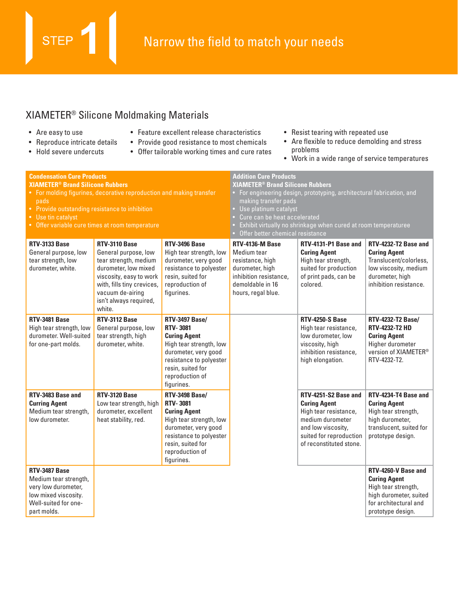# XIAMETER® Silicone Moldmaking Materials

• Are easy to use

**STEP** 

- Reproduce intricate details
- Hold severe undercuts
- Feature excellent release characteristics
- Provide good resistance to most chemicals
- Offer tailorable working times and cure rates
- Resist tearing with repeated use
- Are flexible to reduce demolding and stress problems
- Work in a wide range of service temperatures

| <b>Condensation Cure Products</b><br><b>XIAMETER<sup>®</sup> Brand Silicone Rubbers</b><br>pads<br>• Provide outstanding resistance to inhibition<br>• Use tin catalyst | • For molding figurines, decorative reproduction and making transfer<br>• Offer variable cure times at room temperature                                                                                        |                                                                                                                                                                                                     | <b>Addition Cure Products</b><br><b>XIAMETER<sup>®</sup> Brand Silicone Rubbers</b><br>For engineering design, prototyping, architectural fabrication, and<br>making transfer pads<br>Use platinum catalyst<br>Cure can be heat accelerated<br>Exhibit virtually no shrinkage when cured at room temperaturee<br>Offer better chemical resistance |                                                                                                                                                                      |                                                                                                                                             |  |  |  |
|-------------------------------------------------------------------------------------------------------------------------------------------------------------------------|----------------------------------------------------------------------------------------------------------------------------------------------------------------------------------------------------------------|-----------------------------------------------------------------------------------------------------------------------------------------------------------------------------------------------------|---------------------------------------------------------------------------------------------------------------------------------------------------------------------------------------------------------------------------------------------------------------------------------------------------------------------------------------------------|----------------------------------------------------------------------------------------------------------------------------------------------------------------------|---------------------------------------------------------------------------------------------------------------------------------------------|--|--|--|
| <b>RTV-3133 Base</b><br>General purpose, low<br>tear strength, low<br>durometer, white.                                                                                 | <b>RTV-3110 Base</b><br>General purpose, low<br>tear strength, medium<br>durometer, low mixed<br>viscosity, easy to work<br>with, fills tiny crevices,<br>vacuum de-airing<br>isn't always required,<br>white. | RTV-3496 Base<br>High tear strength, low<br>durometer, very good<br>resistance to polyester<br>resin, suited for<br>reproduction of<br>figurines.                                                   | RTV-4136-M Base<br>Medium tear<br>resistance, high<br>durometer, high<br>inhibition resistance,<br>demoldable in 16<br>hours, regal blue.                                                                                                                                                                                                         | RTV-4131-P1 Base and<br><b>Curing Agent</b><br>High tear strength,<br>suited for production<br>of print pads, can be<br>colored.                                     | RTV-4232-T2 Base and<br><b>Curing Agent</b><br>Translucent/colorless,<br>low viscosity, medium<br>durometer, high<br>inhibition resistance. |  |  |  |
| RTV-3481 Base<br>High tear strength, low<br>durometer. Well-suited<br>for one-part molds.                                                                               | RTV-3112 Base<br>General purpose, low<br>tear strength, high<br>durometer, white.                                                                                                                              | <b>RTV-3497 Base/</b><br><b>RTV-3081</b><br><b>Curing Agent</b><br>High tear strength, low<br>durometer, very good<br>resistance to polyester<br>resin, suited for<br>reproduction of<br>figurines. |                                                                                                                                                                                                                                                                                                                                                   | <b>RTV-4250-S Base</b><br>High tear resistance,<br>low durometer, low<br>viscosity, high<br>inhibition resistance,<br>high elongation.                               | <b>RTV-4232-T2 Base/</b><br><b>RTV-4232-T2 HD</b><br><b>Curing Agent</b><br>Higher durometer<br>version of XIAMETER®<br>RTV-4232-T2.        |  |  |  |
| RTV-3483 Base and<br><b>Curring Agent</b><br>Medium tear strength,<br>low durometer.                                                                                    | <b>RTV-3120 Base</b><br>Low tear strength, high<br>durometer, excellent<br>heat stability, red.                                                                                                                | <b>RTV-3498 Base/</b><br><b>RTV-3081</b><br><b>Curing Agent</b><br>High tear strength, low<br>durometer, very good<br>resistance to polyester<br>resin, suited for<br>reproduction of<br>figurines. |                                                                                                                                                                                                                                                                                                                                                   | RTV-4251-S2 Base and<br><b>Curing Agent</b><br>High tear resistance,<br>medium durometer<br>and low viscosity,<br>suited for reproduction<br>of reconstituted stone. | RTV-4234-T4 Base and<br><b>Curing Agent</b><br>High tear strength,<br>high durometer,<br>translucent, suited for<br>prototype design.       |  |  |  |
| RTV-3487 Base<br>Medium tear strength,<br>very low durometer,<br>low mixed viscosity.<br>Well-suited for one-<br>part molds.                                            |                                                                                                                                                                                                                |                                                                                                                                                                                                     |                                                                                                                                                                                                                                                                                                                                                   |                                                                                                                                                                      | RTV-4260-V Base and<br><b>Curing Agent</b><br>High tear strength,<br>high durometer, suited<br>for architectural and<br>prototype design.   |  |  |  |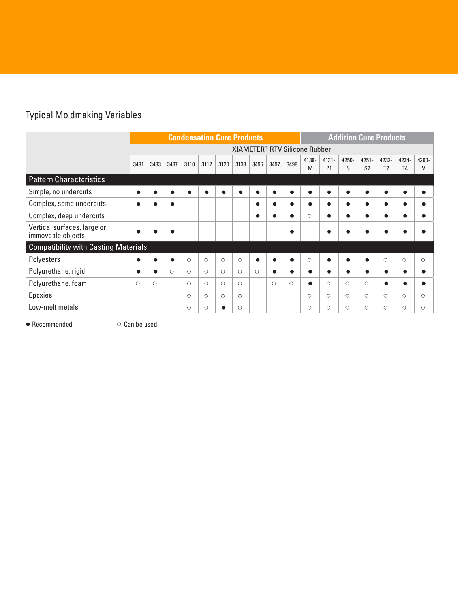# Typical Moldmaking Variables

|                                                  |           | <b>Condensation Cure Products</b>         |         |         |         |           |         | <b>Addition Cure Products</b> |         |            |               |                            |            |                            |                         |                         |            |
|--------------------------------------------------|-----------|-------------------------------------------|---------|---------|---------|-----------|---------|-------------------------------|---------|------------|---------------|----------------------------|------------|----------------------------|-------------------------|-------------------------|------------|
|                                                  |           | XIAMETER <sup>®</sup> RTV Silicone Rubber |         |         |         |           |         |                               |         |            |               |                            |            |                            |                         |                         |            |
|                                                  | 3481      | 3483                                      | 3487    | 3110    | 3112    | 3120      | 3133    | 3496                          | 3497    | 3498       | $4136 -$<br>M | $4131 -$<br>P <sub>1</sub> | 4250-<br>S | $4251 -$<br>S <sub>2</sub> | 4232-<br>T <sub>2</sub> | 4234-<br>T <sub>4</sub> | 4260-<br>V |
| <b>Pattern Characteristics</b>                   |           |                                           |         |         |         |           |         |                               |         |            |               |                            |            |                            |                         |                         |            |
| Simple, no undercuts                             | $\bullet$ |                                           |         |         |         | $\bullet$ | ●       | c                             |         |            | $\bullet$     |                            | $\bullet$  |                            | $\bullet$               |                         |            |
| Complex, some undercuts                          |           |                                           | ●       |         |         |           |         | $\bullet$                     |         |            | $\bullet$     |                            |            |                            |                         |                         |            |
| Complex, deep undercuts                          |           |                                           |         |         |         |           |         | c                             |         |            | $\circ$       |                            | ●          |                            | $\bullet$               |                         |            |
| Vertical surfaces, large or<br>immovable objects |           |                                           |         |         |         |           |         |                               |         |            |               |                            |            |                            |                         |                         |            |
| <b>Compatibility with Casting Materials</b>      |           |                                           |         |         |         |           |         |                               |         |            |               |                            |            |                            |                         |                         |            |
| Polyesters                                       | $\bullet$ |                                           | ●       | $\circ$ | $\circ$ | $\circ$   | $\circ$ | $\bullet$                     |         |            | $\circ$       |                            | $\bullet$  |                            | $\circ$                 | $\circ$                 | $\circ$    |
| Polyurethane, rigid                              |           |                                           | $\circ$ | $\circ$ | $\circ$ | $\circ$   | $\circ$ | $\circ$                       |         |            |               |                            |            |                            |                         |                         |            |
| Polyurethane, foam                               | $\circ$   | $\circ$                                   |         | $\circ$ | $\circ$ | $\circ$   | $\circ$ |                               | $\circ$ | $\bigcirc$ | $\bullet$     | $\circ$                    | $\circ$    | $\circ$                    | $\bullet$               |                         |            |
| Epoxies                                          |           |                                           |         | $\circ$ | $\circ$ | $\circ$   | $\circ$ |                               |         |            | $\circ$       | $\circ$                    | $\circ$    | $\circ$                    | $\circ$                 | $\circ$                 | $\circ$    |
| Low-melt metals                                  |           |                                           |         | $\circ$ | $\circ$ | ●         | $\circ$ |                               |         |            | $\circ$       | O                          | Ο          | O                          | $\circ$                 | $\circ$                 | Ο          |

● Recommended ○ Can be used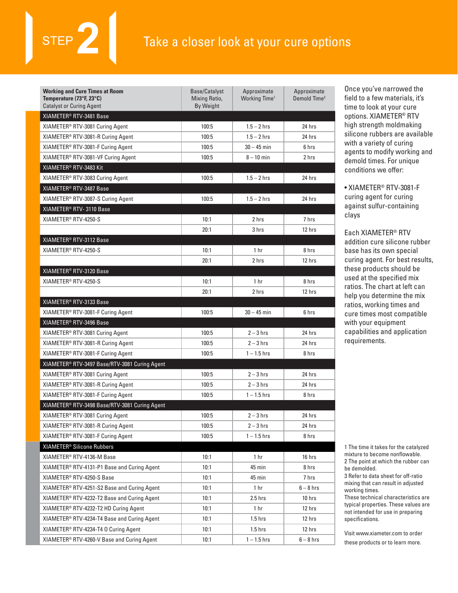# Take a closer look at your cure options

| <b>Working and Cure Times at Room</b><br>Temperature (73°F, 23°C)<br><b>Catalyst or Curing Agent</b> | Base/Catalyst<br>Mixing Ratio,<br>By Weight | Approximate<br>Working Time <sup>1</sup> | Approximate<br>Demold Time <sup>2</sup> |
|------------------------------------------------------------------------------------------------------|---------------------------------------------|------------------------------------------|-----------------------------------------|
| XIAMETER <sup>®</sup> RTV-3481 Base                                                                  |                                             |                                          |                                         |
| XIAMETER <sup>®</sup> RTV-3081 Curing Agent                                                          | 100:5                                       | $1.5 - 2$ hrs                            | 24 hrs                                  |
| XIAMETER® RTV-3081-R Curing Agent                                                                    | 100:5                                       | $1.5 - 2$ hrs                            | 24 hrs                                  |
| XIAMETER® RTV-3081-F Curing Agent                                                                    | 100:5                                       | $30 - 45$ min                            | 6 hrs                                   |
| XIAMETER <sup>®</sup> RTV-3081-VF Curing Agent                                                       | 100:5                                       | $8 - 10$ min                             | 2 hrs                                   |
| XIAMETER <sup>®</sup> RTV-3483 Kit                                                                   |                                             |                                          |                                         |
| XIAMETER® RTV-3083 Curing Agent                                                                      | 100:5                                       | $1.5 - 2$ hrs                            | 24 hrs                                  |
| XIAMETER® RTV-3487 Base                                                                              |                                             |                                          |                                         |
| XIAMETER <sup>®</sup> RTV-3087-S Curing Agent                                                        | 100:5                                       | $1.5 - 2$ hrs                            | 24 hrs                                  |
| XIAMETER® RTV-3110 Base                                                                              |                                             |                                          |                                         |
| XIAMETER <sup>®</sup> RTV-4250-S                                                                     | 10:1                                        | 2 hrs                                    | 7 hrs                                   |
|                                                                                                      | 20:1                                        | 3 hrs                                    | 12 hrs                                  |
| XIAMETER® RTV-3112 Base                                                                              |                                             |                                          |                                         |
| XIAMETER <sup>®</sup> RTV-4250-S                                                                     | 10:1                                        | 1 <sub>hr</sub>                          | 8 hrs                                   |
|                                                                                                      | 20:1                                        | 2 hrs                                    | 12 hrs                                  |
| XIAMETER® RTV-3120 Base                                                                              |                                             |                                          |                                         |
| XIAMETER® RTV-4250-S                                                                                 | 10:1                                        | 1 <sub>hr</sub>                          | 8 hrs                                   |
|                                                                                                      | 20:1                                        | 2 hrs                                    | 12 hrs                                  |
| XIAMETER® RTV-3133 Base                                                                              |                                             |                                          |                                         |
| XIAMETER <sup>®</sup> RTV-3081-F Curing Agent                                                        | 100:5                                       | $30 - 45$ min                            | 6 hrs                                   |
| XIAMETER® RTV-3496 Base                                                                              |                                             |                                          |                                         |
| XIAMETER <sup>®</sup> RTV-3081 Curing Agent                                                          | 100:5                                       | $2 - 3$ hrs                              | 24 hrs                                  |
| XIAMETER® RTV-3081-R Curing Agent                                                                    | 100:5                                       | $2 - 3$ hrs                              | 24 hrs                                  |
| XIAMETER® RTV-3081-F Curing Agent                                                                    | 100:5                                       | $1 - 1.5$ hrs                            | 8 hrs                                   |
| XIAMETER® RTV-3497 Base/RTV-3081 Curing Agent                                                        |                                             |                                          |                                         |
| XIAMETER <sup>®</sup> RTV-3081 Curing Agent                                                          | 100:5                                       | $2 - 3$ hrs                              | 24 hrs                                  |
| XIAMETER® RTV-3081-R Curing Agent                                                                    | 100:5                                       | $2 - 3$ hrs                              | 24 hrs                                  |
| XIAMETER® RTV-3081-F Curing Agent                                                                    | 100:5                                       | $1 - 1.5$ hrs                            | 8 hrs                                   |
| XIAMETER® RTV-3498 Base/RTV-3081 Curing Agent                                                        |                                             |                                          |                                         |
| XIAMETER® RTV-3081 Curing Agent                                                                      | 100:5                                       | $2 - 3$ hrs                              | 24 hrs                                  |
| XIAMETER® RTV-3081-R Curing Agent                                                                    | 100:5                                       | $2 - 3$ hrs                              | 24 hrs                                  |
| XIAMETER <sup>®</sup> RTV-3081-F Curing Agent                                                        | 100:5                                       | $1 - 1.5$ hrs                            | 8 hrs                                   |
| XIAMETER® Silicone Rubbers                                                                           |                                             |                                          |                                         |
| XIAMETER® RTV-4136-M Base                                                                            | 10:1                                        | 1 hr                                     | 16 hrs                                  |
| XIAMETER® RTV-4131-P1 Base and Curing Agent                                                          | 10:1                                        | 45 min                                   | 8 hrs                                   |
| XIAMETER® RTV-4250-S Base                                                                            | 10:1                                        | 45 min                                   | 7 hrs                                   |
| XIAMETER <sup>®</sup> RTV-4251-S2 Base and Curing Agent                                              | 10:1                                        | 1 <sub>hr</sub>                          | $6 - 8$ hrs                             |
| XIAMETER® RTV-4232-T2 Base and Curing Agent                                                          | 10:1                                        | $2.5$ hrs                                | 10 hrs                                  |
| XIAMETER <sup>®</sup> RTV-4232-T2 HD Curing Agent                                                    | 10:1                                        | 1 hr                                     | 12 hrs                                  |
| XIAMETER® RTV-4234-T4 Base and Curing Agent                                                          | 10:1                                        | $1.5$ hrs                                | 12 hrs                                  |
| XIAMETER <sup>®</sup> RTV-4234-T4 0 Curing Agent                                                     | 10:1                                        | $1.5$ hrs                                | 12 hrs                                  |
| XIAMETER <sup>®</sup> RTV-4260-V Base and Curing Agent                                               | 10:1                                        | $1 - 1.5$ hrs                            | $6 - 8$ hrs                             |

Once you've narrowed the field to a few materials, it's time to look at your cure options. XIAMETER® RTV high strength moldmaking silicone rubbers are available with a variety of curing agents to modify working and demold times. For unique conditions we offer:

• XIAMETER® RTV-3081-F curing agent for curing against sulfur-containing clays

Each XIAMETER® RTV addition cure silicone rubber base has its own special curing agent. For best results, these products should be used at the specified mix ratios. The chart at left can help you determine the mix ratios, working times and cure times most compatible with your equipment capabilities and application requirements.

1 The time it takes for the catalyzed mixture to become nonflowable. 2 The point at which the rubber can be demolded.

3 Refer to data sheet for off-ratio mixing that can result in adjusted working times.

These technical characteristics are typical properties. These values are not intended for use in preparing specifications.

Visit www.xiameter.com to order these products or to learn more.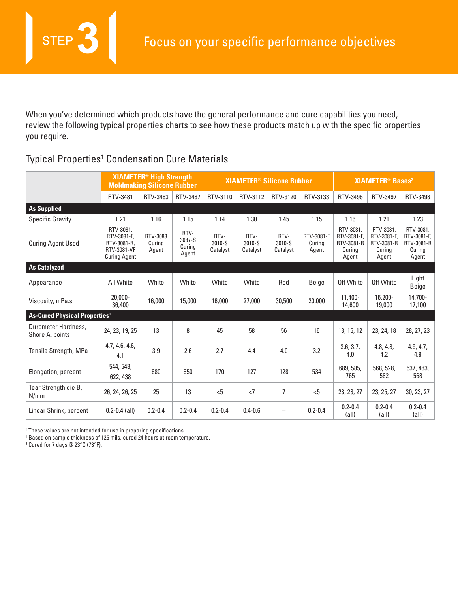When you've determined which products have the general performance and cure capabilities you need, review the following typical properties charts to see how these products match up with the specific properties you require.

# Typical Properties† Condensation Cure Materials

|                                           | <b>Moldmaking Silicone Rubber</b>                                             | <b>XIAMETER<sup>®</sup> High Strength</b> |                                   |                            |                            | <b>XIAMETER<sup>®</sup> Silicone Rubber</b> | <b>XIAMETER<sup>®</sup> Bases<sup>2</sup></b> |                                                           |                                                           |                                                           |
|-------------------------------------------|-------------------------------------------------------------------------------|-------------------------------------------|-----------------------------------|----------------------------|----------------------------|---------------------------------------------|-----------------------------------------------|-----------------------------------------------------------|-----------------------------------------------------------|-----------------------------------------------------------|
|                                           | RTV-3481                                                                      | RTV-3483                                  | RTV-3487                          | RTV-3110                   | RTV-3112                   | RTV-3120                                    | RTV-3133                                      | RTV-3496                                                  | RTV-3497                                                  | RTV-3498                                                  |
| <b>As Supplied</b>                        |                                                                               |                                           |                                   |                            |                            |                                             |                                               |                                                           |                                                           |                                                           |
| <b>Specific Gravity</b>                   | 1.21                                                                          | 1.16                                      | 1.15                              | 1.14                       | 1.30                       | 1.45                                        | 1.15                                          | 1.16                                                      | 1.21                                                      | 1.23                                                      |
| <b>Curing Agent Used</b>                  | RTV-3081.<br>RTV-3081-F,<br>RTV-3081-R.<br>RTV-3081-VF<br><b>Curing Agent</b> | RTV-3083<br>Curina<br>Agent               | RTV-<br>3087-S<br>Curing<br>Agent | RTV-<br>3010-S<br>Catalyst | RTV-<br>3010-S<br>Catalyst | RTV-<br>3010-S<br>Catalyst                  | RTV-3081-F<br>Curing<br>Agent                 | RTV-3081.<br>RTV-3081-F,<br>RTV-3081-R<br>Curing<br>Agent | RTV-3081.<br>RTV-3081-F,<br>RTV-3081-R<br>Curing<br>Agent | RTV-3081.<br>RTV-3081-F,<br>RTV-3081-R<br>Curing<br>Agent |
| As Catalyzed                              |                                                                               |                                           |                                   |                            |                            |                                             |                                               |                                                           |                                                           |                                                           |
| Appearance                                | All White                                                                     | White                                     | White                             | White                      | White                      | Red                                         | Beige                                         | Off White                                                 | Off White                                                 | Light<br>Beige                                            |
| Viscosity, mPa.s                          | $20.000 -$<br>36,400                                                          | 16,000                                    | 15,000                            | 16,000                     | 27,000                     | 30,500                                      | 20,000                                        | 11,400-<br>14,600                                         | 16,200-<br>19,000                                         | 14,700-<br>17,100                                         |
| As-Cured Physical Properties <sup>1</sup> |                                                                               |                                           |                                   |                            |                            |                                             |                                               |                                                           |                                                           |                                                           |
| Durometer Hardness,<br>Shore A, points    | 24, 23, 19, 25                                                                | 13                                        | 8                                 | 45                         | 58                         | 56                                          | 16                                            | 13, 15, 12                                                | 23, 24, 18                                                | 28, 27, 23                                                |
| Tensile Strength, MPa                     | 4.7, 4.6, 4.6,<br>4.1                                                         | 3.9                                       | 2.6                               | 2.7                        | 4.4                        | 4.0                                         | 3.2                                           | 3.6, 3.7,<br>4.0                                          | 4.8, 4.8,<br>4.2                                          | 4.9, 4.7,<br>4.9                                          |
| Elongation, percent                       | 544, 543,<br>622, 438                                                         | 680                                       | 650                               | 170                        | 127                        | 128                                         | 534                                           | 689, 585,<br>765                                          | 568, 528,<br>582                                          | 537, 483,<br>568                                          |
| Tear Strength die B,<br>N/mm              | 26, 24, 26, 25                                                                | 25                                        | 13                                | < 5                        | $\langle$ 7                | 7                                           | < 5                                           | 28, 28, 27                                                | 23, 25, 27                                                | 30, 23, 27                                                |
| Linear Shrink, percent                    | $0.2 - 0.4$ (all)                                                             | $0.2 - 0.4$                               | $0.2 - 0.4$                       | $0.2 - 0.4$                | $0.4 - 0.6$                | $\overline{\phantom{0}}$                    | $0.2 - 0.4$                                   | $0.2 - 0.4$<br>(all)                                      | $0.2 - 0.4$<br>(all)                                      | $0.2 - 0.4$<br>$\text{(all)}$                             |

† These values are not intended for use in preparing specifications.

1 Based on sample thickness of 125 mils, cured 24 hours at room temperature.

2 Cured for 7 days @ 23°C (73°F).

**STEP**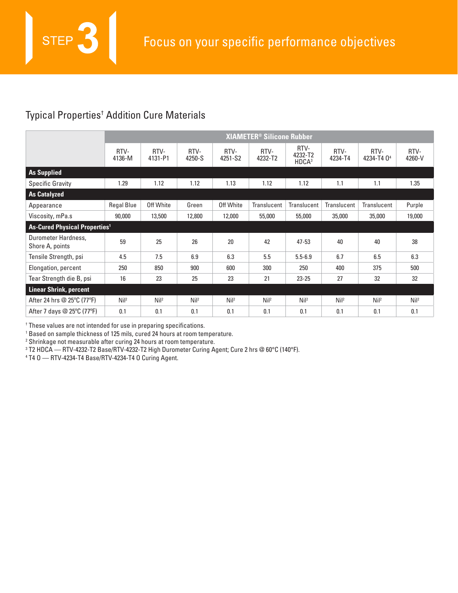# Typical Properties† Addition Cure Materials

**STEP** 

|                                           | <b>XIAMETER<sup>®</sup> Silicone Rubber</b> |                  |                  |                  |                 |                                      |                  |                                |                  |  |  |
|-------------------------------------------|---------------------------------------------|------------------|------------------|------------------|-----------------|--------------------------------------|------------------|--------------------------------|------------------|--|--|
|                                           | RTV-<br>4136-M                              | RTV-<br>4131-P1  | RTV-<br>4250-S   | RTV-<br>4251-S2  | RTV-<br>4232-T2 | RTV-<br>4232-T2<br>HDCA <sup>3</sup> | RTV-<br>4234-T4  | RTV-<br>4234-T4 0 <sup>4</sup> | RTV-<br>4260-V   |  |  |
| <b>As Supplied</b>                        |                                             |                  |                  |                  |                 |                                      |                  |                                |                  |  |  |
| <b>Specific Gravity</b>                   | 1.29                                        | 1.12             | 1.12             | 1.13             | 1.12            | 1.12                                 | 1.1              | 1.1                            | 1.35             |  |  |
| <b>As Catalyzed</b>                       |                                             |                  |                  |                  |                 |                                      |                  |                                |                  |  |  |
| Appearance                                | <b>Regal Blue</b>                           | Off White        | Green            | Off White        | Translucent     | Translucent                          | Translucent      | Translucent                    | Purple           |  |  |
| Viscosity, mPa.s                          | 90,000                                      | 13,500           | 12,800           | 12,000           | 55,000          | 55,000                               | 35,000           | 35,000                         | 19,000           |  |  |
| As-Cured Physical Properties <sup>1</sup> |                                             |                  |                  |                  |                 |                                      |                  |                                |                  |  |  |
| Durometer Hardness,<br>Shore A, points    | 59                                          | 25               | 26               | 20               | 42              | $47 - 53$                            | 40               | 40                             | 38               |  |  |
| Tensile Strength, psi                     | 4.5                                         | 7.5              | 6.9              | 6.3              | 5.5             | $5.5 - 6.9$                          | 6.7              | 6.5                            | 6.3              |  |  |
| Elongation, percent                       | 250                                         | 850              | 900              | 600              | 300             | 250                                  | 400              | 375                            | 500              |  |  |
| Tear Strength die B, psi                  | 16                                          | 23               | 25               | 23               | 21              | $23 - 25$                            | 27               | 32                             | 32               |  |  |
| <b>Linear Shrink, percent</b>             |                                             |                  |                  |                  |                 |                                      |                  |                                |                  |  |  |
| After 24 hrs @ 25°C (77°F)                | Nil <sup>2</sup>                            | Nil <sup>2</sup> | Nil <sup>2</sup> | Nil <sup>2</sup> | Ni <sup>2</sup> | Nil <sup>2</sup>                     | Nil <sup>2</sup> | Nil <sup>2</sup>               | Nil <sup>2</sup> |  |  |
| After 7 days $\oslash$ 25°C (77°F)        | 0.1                                         | 0.1              | 0.1              | 0.1              | 0.1             | 0.1                                  | 0.1              | 0.1                            | 0.1              |  |  |

† These values are not intended for use in preparing specifications.

<sup>1</sup> Based on sample thickness of 125 mils, cured 24 hours at room temperature.<br><sup>2</sup> Shrinkage not measurable after curing 24 hours at room temperature.

<sup>2</sup> Shrinkage not measurable after curing 24 hours at room temperature.

3 T2 HDCA — RTV-4232-T2 Base/RTV-4232-T2 High Durometer Curing Agent; Cure 2 hrs @ 60°C (140°F).

4 T4 O — RTV-4234-T4 Base/RTV-4234-T4 O Curing Agent.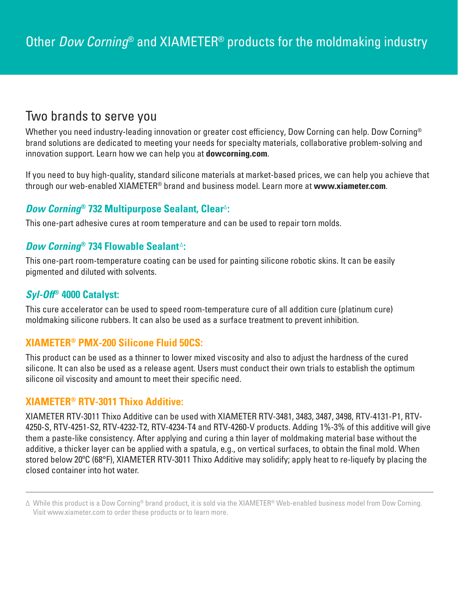# Two brands to serve you

Whether you need industry-leading innovation or greater cost efficiency, Dow Corning can help. Dow Corning® brand solutions are dedicated to meeting your needs for specialty materials, collaborative problem-solving and innovation support. Learn how we can help you at **dowcorning.com**.

If you need to buy high-quality, standard silicone materials at market-based prices, we can help you achieve that through our web-enabled XIAMETER® brand and business model. Learn more at **www.xiameter.com**.

## **Dow Corning® 732 Multipurpose Sealant, Clear**∆**:**

This one-part adhesive cures at room temperature and can be used to repair torn molds.

### **Dow Corning<sup>®</sup> 734 Flowable Sealant**<sup>∆</sup>:

This one-part room-temperature coating can be used for painting silicone robotic skins. It can be easily pigmented and diluted with solvents.

### **Syl-Off® 4000 Catalyst:**

This cure accelerator can be used to speed room-temperature cure of all addition cure (platinum cure) moldmaking silicone rubbers. It can also be used as a surface treatment to prevent inhibition.

## **XIAMETER® PMX-200 Silicone Fluid 50CS:**

This product can be used as a thinner to lower mixed viscosity and also to adjust the hardness of the cured silicone. It can also be used as a release agent. Users must conduct their own trials to establish the optimum silicone oil viscosity and amount to meet their specific need.

### **XIAMETER® RTV-3011 Thixo Additive:**

XIAMETER RTV-3011 Thixo Additive can be used with XIAMETER RTV-3481, 3483, 3487, 3498, RTV-4131-P1, RTV-4250-S, RTV-4251-S2, RTV-4232-T2, RTV-4234-T4 and RTV-4260-V products. Adding 1%-3% of this additive will give them a paste-like consistency. After applying and curing a thin layer of moldmaking material base without the additive, a thicker layer can be applied with a spatula, e.g., on vertical surfaces, to obtain the final mold. When stored below 20ºC (68°F), XIAMETER RTV-3011 Thixo Additive may solidify; apply heat to re-liquefy by placing the closed container into hot water.

<sup>∆</sup> While this product is a Dow Corning® brand product, it is sold via the XIAMETER® Web-enabled business model from Dow Corning. Visit www.xiameter.com to order these products or to learn more.